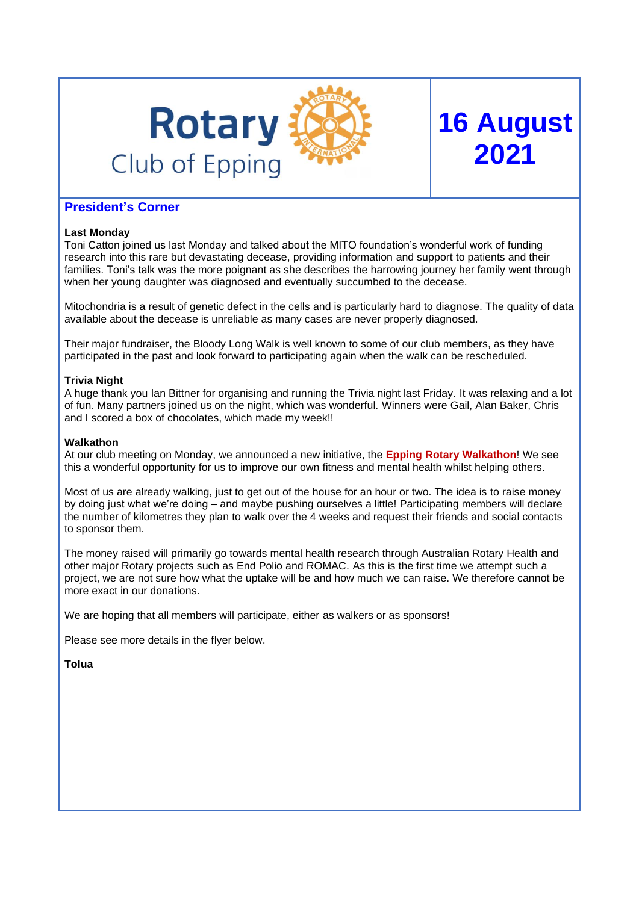

# **President's Corner**

## **Last Monday**

Toni Catton joined us last Monday and talked about the MITO foundation's wonderful work of funding research into this rare but devastating decease, providing information and support to patients and their families. Toni's talk was the more poignant as she describes the harrowing journey her family went through when her young daughter was diagnosed and eventually succumbed to the decease.

**16 August**

**2021**

Mitochondria is a result of genetic defect in the cells and is particularly hard to diagnose. The quality of data available about the decease is unreliable as many cases are never properly diagnosed.

Their major fundraiser, the Bloody Long Walk is well known to some of our club members, as they have participated in the past and look forward to participating again when the walk can be rescheduled.

## **Trivia Night**

A huge thank you Ian Bittner for organising and running the Trivia night last Friday. It was relaxing and a lot of fun. Many partners joined us on the night, which was wonderful. Winners were Gail, Alan Baker, Chris and I scored a box of chocolates, which made my week!!

## **Walkathon**

At our club meeting on Monday, we announced a new initiative, the **Epping Rotary Walkathon**! We see this a wonderful opportunity for us to improve our own fitness and mental health whilst helping others.

Most of us are already walking, just to get out of the house for an hour or two. The idea is to raise money by doing just what we're doing – and maybe pushing ourselves a little! Participating members will declare the number of kilometres they plan to walk over the 4 weeks and request their friends and social contacts to sponsor them.

The money raised will primarily go towards mental health research through Australian Rotary Health and other major Rotary projects such as End Polio and ROMAC. As this is the first time we attempt such a project, we are not sure how what the uptake will be and how much we can raise. We therefore cannot be more exact in our donations.

We are hoping that all members will participate, either as walkers or as sponsors!

Please see more details in the flyer below.

**Tolua**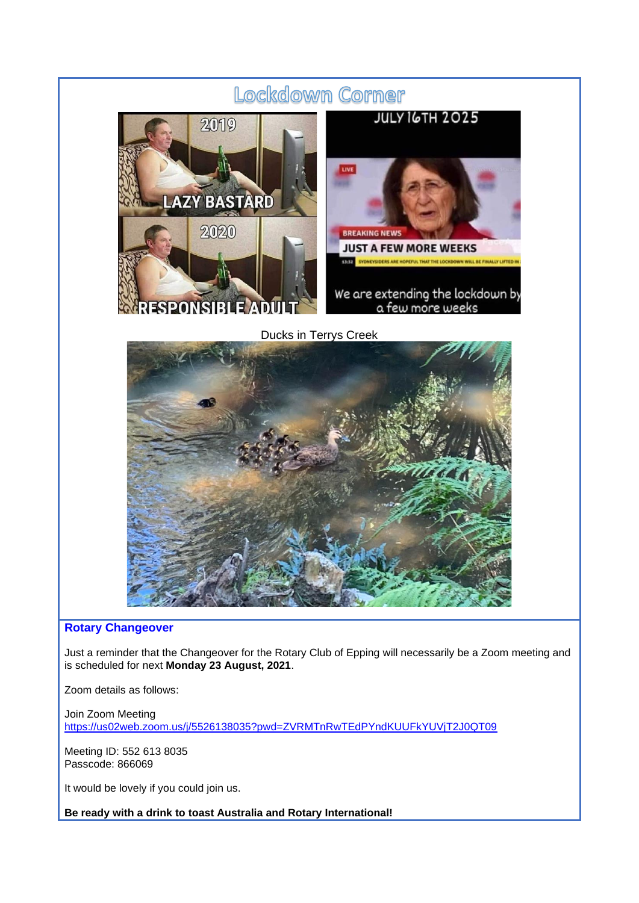

## **Rotary Changeover**

Just a reminder that the Changeover for the Rotary Club of Epping will necessarily be a Zoom meeting and is scheduled for next **Monday 23 August, 2021**.

Zoom details as follows:

Join Zoom Meeting <https://us02web.zoom.us/j/5526138035?pwd=ZVRMTnRwTEdPYndKUUFkYUVjT2J0QT09>

Meeting ID: 552 613 8035 Passcode: 866069

It would be lovely if you could join us.

**Be ready with a drink to toast Australia and Rotary International!**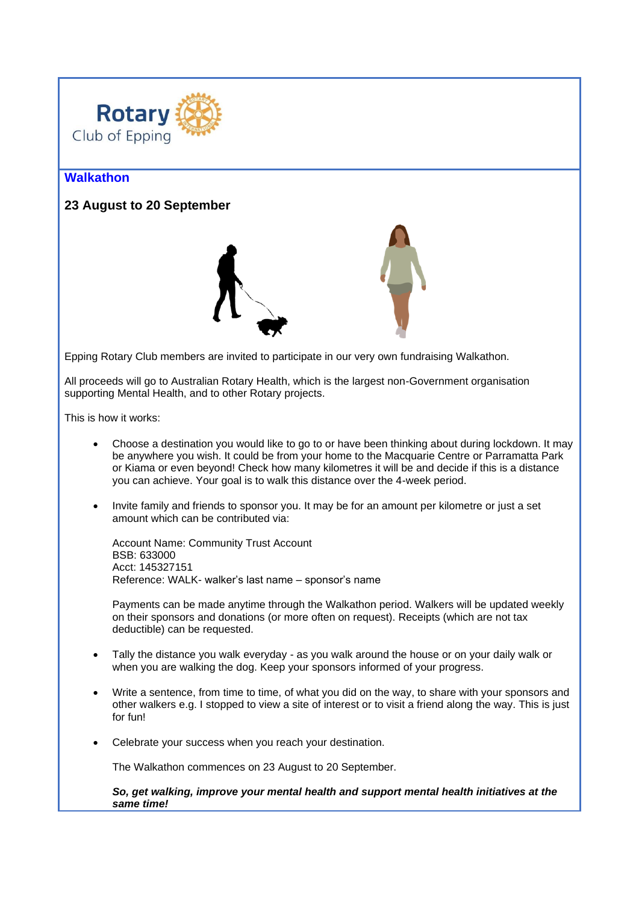

# **Walkathon**

## **23 August to 20 September**



Epping Rotary Club members are invited to participate in our very own fundraising Walkathon.

All proceeds will go to Australian Rotary Health, which is the largest non-Government organisation supporting Mental Health, and to other Rotary projects.

This is how it works:

- Choose a destination you would like to go to or have been thinking about during lockdown. It may be anywhere you wish. It could be from your home to the Macquarie Centre or Parramatta Park or Kiama or even beyond! Check how many kilometres it will be and decide if this is a distance you can achieve. Your goal is to walk this distance over the 4-week period.
- Invite family and friends to sponsor you. It may be for an amount per kilometre or just a set amount which can be contributed via:

Account Name: Community Trust Account BSB: 633000 Acct: 145327151 Reference: WALK- walker's last name – sponsor's name

Payments can be made anytime through the Walkathon period. Walkers will be updated weekly on their sponsors and donations (or more often on request). Receipts (which are not tax deductible) can be requested.

- Tally the distance you walk everyday as you walk around the house or on your daily walk or when you are walking the dog. Keep your sponsors informed of your progress.
- Write a sentence, from time to time, of what you did on the way, to share with your sponsors and other walkers e.g. I stopped to view a site of interest or to visit a friend along the way. This is just for fun!
- Celebrate your success when you reach your destination.

The Walkathon commences on 23 August to 20 September.

*So, get walking, improve your mental health and support mental health initiatives at the same time!*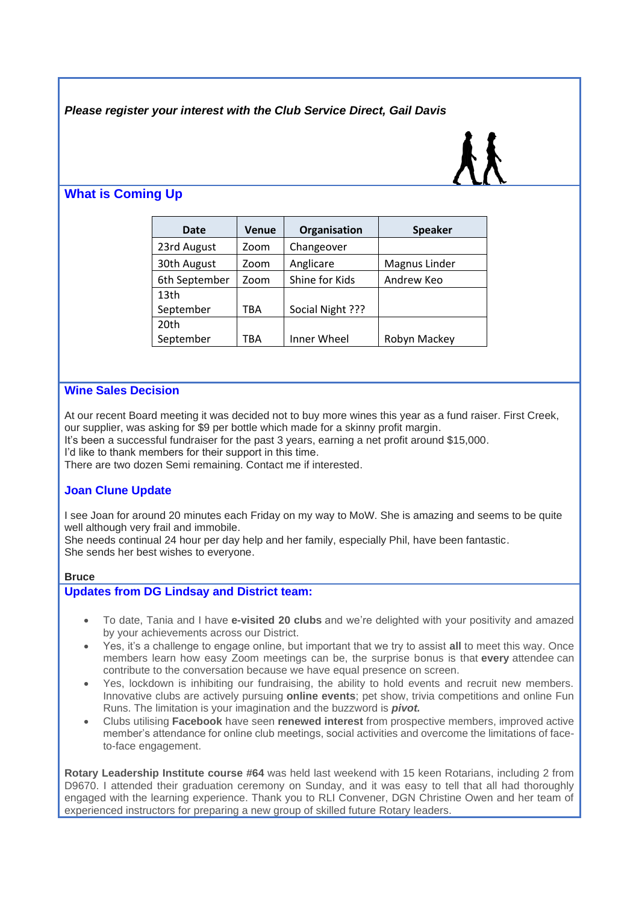*Please register your interest with the Club Service Direct, Gail Davis*

# **What is Coming Up**

| Date             | <b>Venue</b> | Organisation     | <b>Speaker</b> |
|------------------|--------------|------------------|----------------|
| 23rd August      | Zoom         | Changeover       |                |
| 30th August      | Zoom         | Anglicare        | Magnus Linder  |
| 6th September    | Zoom         | Shine for Kids   | Andrew Keo     |
| 13 <sub>th</sub> |              |                  |                |
| September        | TBA          | Social Night ??? |                |
| 20th             |              |                  |                |
| September        | TBA          | Inner Wheel      | Robyn Mackey   |

# **Wine Sales Decision**

At our recent Board meeting it was decided not to buy more wines this year as a fund raiser. First Creek, our supplier, was asking for \$9 per bottle which made for a skinny profit margin.

It's been a successful fundraiser for the past 3 years, earning a net profit around \$15,000.

I'd like to thank members for their support in this time.

There are two dozen Semi remaining. Contact me if interested.

# **Joan Clune Update**

I see Joan for around 20 minutes each Friday on my way to MoW. She is amazing and seems to be quite well although very frail and immobile.

She needs continual 24 hour per day help and her family, especially Phil, have been fantastic. She sends her best wishes to everyone.

## **Bruce**

## **Updates from DG Lindsay and District team:**

- To date, Tania and I have **e-visited 20 clubs** and we're delighted with your positivity and amazed by your achievements across our District.
- Yes, it's a challenge to engage online, but important that we try to assist **all** to meet this way. Once members learn how easy Zoom meetings can be, the surprise bonus is that **every** attendee can contribute to the conversation because we have equal presence on screen.
- Yes, lockdown is inhibiting our fundraising, the ability to hold events and recruit new members. Innovative clubs are actively pursuing **online events**; pet show, trivia competitions and online Fun Runs. The limitation is your imagination and the buzzword is *pivot.*
- Clubs utilising **Facebook** have seen **renewed interest** from prospective members, improved active member's attendance for online club meetings, social activities and overcome the limitations of faceto-face engagement.

**Rotary Leadership Institute course #64** was held last weekend with 15 keen Rotarians, including 2 from D9670. I attended their graduation ceremony on Sunday, and it was easy to tell that all had thoroughly engaged with the learning experience. Thank you to RLI Convener, DGN Christine Owen and her team of experienced instructors for preparing a new group of skilled future Rotary leaders.